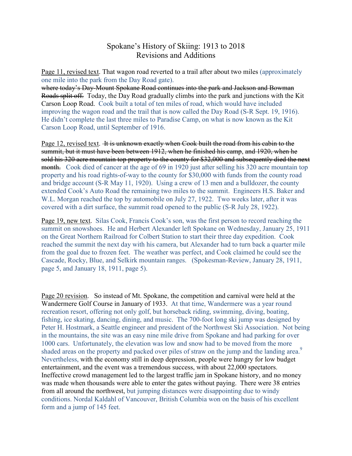## Spokane's History of Skiing: 1913 to 2018 Revisions and Additions

Page 11, revised text. That wagon road reverted to a trail after about two miles (approximately one mile into the park from the Day Road gate).

where today's Day-Mount Spokane Road continues into the park and Jackson and Bowman Roads split off. Today, the Day Road gradually climbs into the park and junctions with the Kit Carson Loop Road. Cook built a total of ten miles of road, which would have included improving the wagon road and the trail that is now called the Day Road (S-R Sept. 19, 1916). He didn't complete the last three miles to Paradise Camp, on what is now known as the Kit Carson Loop Road, until September of 1916.

Page 12, revised text. Het is unknown exactly when Cook built the road from his cabin to the summit, but it must have been between 1912, when he finished his camp, and 1920, when he sold his 320 acre mountain top property to the county for \$32,000 and subsequently died the next month. Cook died of cancer at the age of 69 in 1920 just after selling his 320 acre mountain top property and his road rights-of-way to the county for \$30,000 with funds from the county road and bridge account (S-R May 11, 1920). Using a crew of 13 men and a bulldozer, the county extended Cook's Auto Road the remaining two miles to the summit. Engineers H.S. Baker and W.L. Morgan reached the top by automobile on July 27, 1922. Two weeks later, after it was covered with a dirt surface, the summit road opened to the public (S-R July 28, 1922).

Page 19, new text. Silas Cook, Francis Cook's son, was the first person to record reaching the summit on snowshoes. He and Herbert Alexander left Spokane on Wednesday, January 25, 1911 on the Great Northern Railroad for Colbert Station to start their three day expedition. Cook reached the summit the next day with his camera, but Alexander had to turn back a quarter mile from the goal due to frozen feet. The weather was perfect, and Cook claimed he could see the Cascade, Rocky, Blue, and Selkirk mountain ranges. (Spokesman-Review, January 28, 1911, page 5, and January 18, 1911, page 5).

Page 20 revision. So instead of Mt. Spokane, the competition and carnival were held at the Wandermere Golf Course in January of 1933. At that time, Wandermere was a year round recreation resort, offering not only golf, but horseback riding, swimming, diving, boating, fishing, ice skating, dancing, dining, and music. The 700-foot long ski jump was designed by Peter H. Hostmark, a Seattle engineer and president of the Northwest Ski Association. Not being in the mountains, the site was an easy nine mile drive from Spokane and had parking for over 1000 cars. Unfortunately, the elevation was low and snow had to be moved from the more shaded areas on the property and packed over piles of straw on the jump and the landing area.<sup>9</sup> Nevertheless, with the economy still in deep depression, people were hungry for low budget entertainment, and the event was a tremendous success, with about 22,000 spectators. Ineffective crowd management led to the largest traffic jam in Spokane history, and no money was made when thousands were able to enter the gates without paying. There were 38 entries from all around the northwest, but jumping distances were disappointing due to windy conditions. Nordal Kaldahl of Vancouver, British Columbia won on the basis of his excellent form and a jump of 145 feet.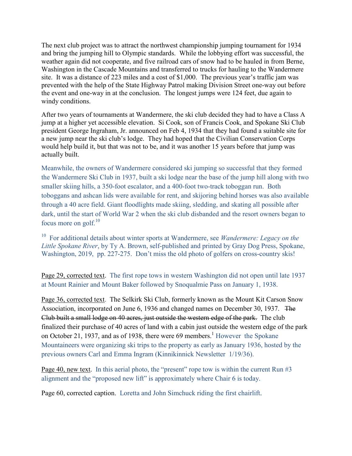The next club project was to attract the northwest championship jumping tournament for 1934 and bring the jumping hill to Olympic standards. While the lobbying effort was successful, the weather again did not cooperate, and five railroad cars of snow had to be hauled in from Berne, Washington in the Cascade Mountains and transferred to trucks for hauling to the Wandermere site. It was a distance of 223 miles and a cost of \$1,000. The previous year's traffic jam was prevented with the help of the State Highway Patrol making Division Street one-way out before the event and one-way in at the conclusion. The longest jumps were 124 feet, due again to windy conditions.

After two years of tournaments at Wandermere, the ski club decided they had to have a Class A jump at a higher yet accessible elevation. Si Cook, son of Francis Cook, and Spokane Ski Club president George Ingraham, Jr. announced on Feb 4, 1934 that they had found a suitable site for a new jump near the ski club's lodge. They had hoped that the Civilian Conservation Corps would help build it, but that was not to be, and it was another 15 years before that jump was actually built.

Meanwhile, the owners of Wandermere considered ski jumping so successful that they formed the Wandermere Ski Club in 1937, built a ski lodge near the base of the jump hill along with two smaller skiing hills, a 350-foot escalator, and a 400-foot two-track toboggan run. Both toboggans and ashcan lids were available for rent, and skijoring behind horses was also available through a 40 acre field. Giant floodlights made skiing, sledding, and skating all possible after dark, until the start of World War 2 when the ski club disbanded and the resort owners began to focus more on golf. $10$ 

<sup>10</sup> For additional details about winter sports at Wandermere, see *Wandermere: Legacy on the Little Spokane River*, by Ty A. Brown, self-published and printed by Gray Dog Press, Spokane, Washington, 2019, pp. 227-275. Don't miss the old photo of golfers on cross-country skis!

Page 29, corrected text. The first rope tows in western Washington did not open until late 1937 at Mount Rainier and Mount Baker followed by Snoqualmie Pass on January 1, 1938.

Page 36, corrected text. The Selkirk Ski Club, formerly known as the Mount Kit Carson Snow Association, incorporated on June 6, 1936 and changed names on December 30, 1937. The Club built a small lodge on 40 acres, just outside the western edge of the park. The club finalized their purchase of 40 acres of land with a cabin just outside the western edge of the park on October 21, 1937, and as of 1938, there were 69 members.<sup>1</sup> However the Spokane Mountaineers were organizing ski trips to the property as early as January 1936, hosted by the previous owners Carl and Emma Ingram (Kinnikinnick Newsletter 1/19/36).

Page 40, new text. In this aerial photo, the "present" rope tow is within the current Run #3 alignment and the "proposed new lift" is approximately where Chair 6 is today.

Page 60, corrected caption. Loretta and John Simchuck riding the first chairlift.